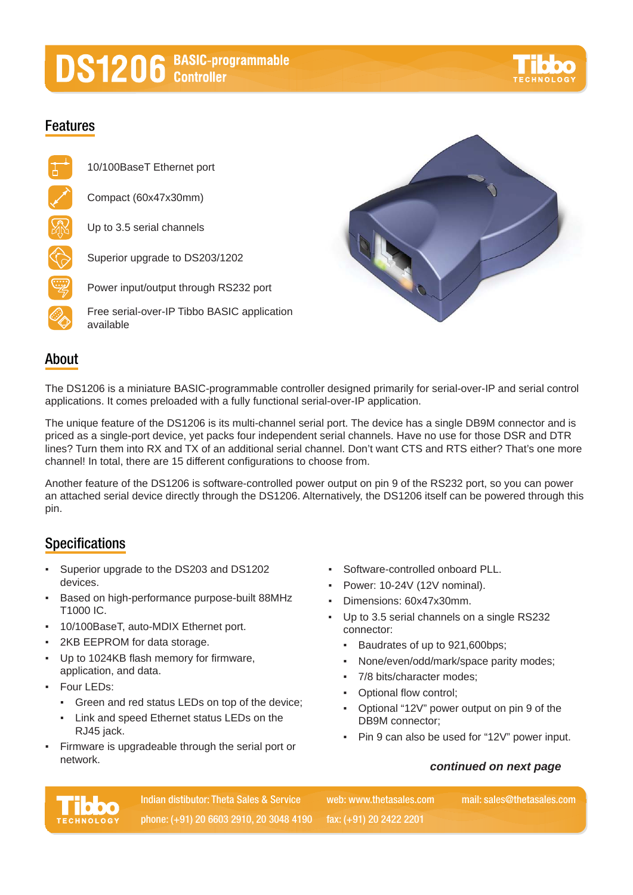# **DS1206** BASIC-programmable



## **Features**



10/100BaseT Ethernet port

Compact (60x47x30mm)

Up to 3.5 serial channels



Power input/output through RS232 port

Free serial-over-IP Tibbo BASIC application available



# **About**

The DS1206 is a miniature BASIC-programmable controller designed primarily for serial-over-IP and serial control applications. It comes preloaded with a fully functional serial-over-IP application.

The unique feature of the DS1206 is its multi-channel serial port. The device has a single DB9M connector and is priced as a single-port device, yet packs four independent serial channels. Have no use for those DSR and DTR lines? Turn them into RX and TX of an additional serial channel. Don't want CTS and RTS either? That's one more channel! In total, there are 15 different configurations to choose from.

Another feature of the DS1206 is software-controlled power output on pin 9 of the RS232 port, so you can power an attached serial device directly through the DS1206. Alternatively, the DS1206 itself can be powered through this pin.

# **Specifications**

- Superior upgrade to the DS203 and DS1202 devices.
- Based on high-performance purpose-built 88MHz T1000 IC.
- 10/100BaseT, auto-MDIX Ethernet port.
- 2KB EEPROM for data storage.
- Up to 1024KB flash memory for firmware, application, and data.
- **Four LEDs:** 
	- Green and red status LEDs on top of the device;
	- Link and speed Ethernet status LEDs on the RJ45 jack.
- Firmware is upgradeable through the serial port or network.
- Software-controlled onboard PLL.
- Power: 10-24V (12V nominal).
- Dimensions: 60x47x30mm.
- Up to 3.5 serial channels on a single RS232 connector:
	- Baudrates of up to 921,600bps;
	- None/even/odd/mark/space parity modes;
	- 7/8 bits/character modes;
	- Optional flow control;
	- Optional "12V" power output on pin 9 of the DB9M connector;
	- Pin 9 can also be used for "12V" power input.

## *continued on next page*



**Indian distibutor: Theta Sales & Service mail: sales@thetasales.com phone: (+91) 20 6603 2910, 20 3048 4190 fax: (+91) 20 2422 2201**

**web: www.thetasales.com**